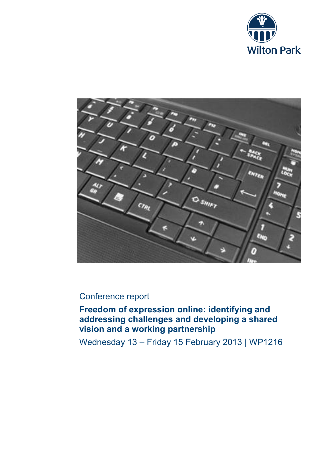



# Conference report

**Freedom of expression online: identifying and addressing challenges and developing a shared vision and a working partnership**

Wednesday 13 – Friday 15 February 2013 | WP1216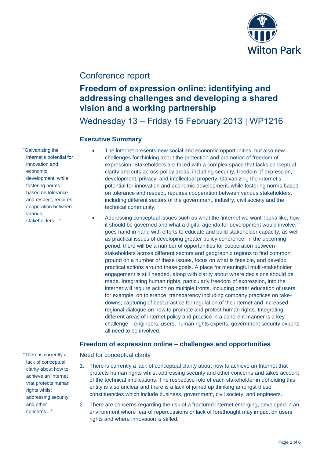

# Conference report

# **Freedom of expression online: identifying and addressing challenges and developing a shared vision and a working partnership**

Wednesday 13 – Friday 15 February 2013 | WP1216

## **Executive Summary**

- The internet presents new social and economic opportunities, but also new challenges for thinking about the protection and promotion of freedom of expression. Stakeholders are faced with a complex space that lacks conceptual clarity and cuts across policy areas, including security, freedom of expression, development, privacy, and intellectual property. Galvanizing the internet's potential for innovation and economic development, while fostering norms based on tolerance and respect, requires cooperation between various stakeholders, including different sectors of the government, industry, civil society and the technical community.
- Addressing conceptual issues such as what the 'internet we want' looks like, how it should be governed and what a digital agenda for development would involve, goes hand in hand with efforts to educate and build stakeholder capacity, as well as practical issues of developing greater policy coherence. In the upcoming period, there will be a number of opportunities for cooperation between stakeholders across different sectors and geographic regions to find common ground on a number of these issues, focus on what is feasible, and develop practical actions around these goals. A place for meaningful multi-stakeholder engagement is still needed, along with clarity about where decisions should be made. Integrating human rights, particularly freedom of expression, into the internet will require action on multiple fronts, including better education of users for example, on tolerance; transparency including company practices on takedowns; capturing of best practice for regulation of the internet and increased regional dialogue on how to promote and protect human rights. Integrating different areas of internet policy and practice in a coherent manner is a key challenge – engineers, users, human rights experts, government security experts all need to be involved.

## **Freedom of expression online – challenges and opportunities**

Need for conceptual clarity

- 1. There is currently a lack of conceptual clarity about how to achieve an Internet that protects human rights whilst addressing security and other concerns and takes account of the technical implications. The respective role of each stakeholder in upholding this entity is also unclear and there is a lack of joined up thinking amongst these constituencies which include business, government, civil society, and engineers.
- 2. There are concerns regarding the risk of a fractured internet emerging, developed in an environment where fear of repercussions or lack of forethought may impact on users' rights and where innovation is stifled.

"Galvanizing the internet's potential for innovation and economic development, while fostering norms based on tolerance and respect, requires cooperation between various stakeholders…"

"There is currently a lack of conceptual clarity about how to achieve an Internet that protects human rights whilst addressing security and other concerns…"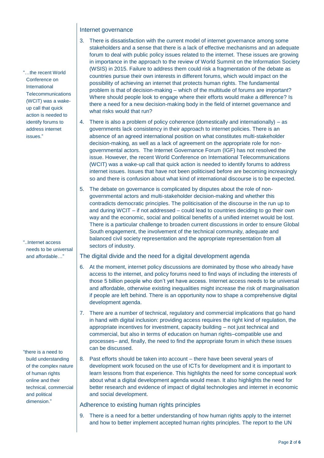### Internet governance

- 3. There is dissatisfaction with the current model of internet governance among some stakeholders and a sense that there is a lack of effective mechanisms and an adequate forum to deal with public policy issues related to the internet. These issues are growing in importance in the approach to the review of World Summit on the Information Society (WSIS) in 2015. Failure to address them could risk a fragmentation of the debate as countries pursue their own interests in different forums, which would impact on the possibility of achieving an internet that protects human rights. The fundamental problem is that of decision-making – which of the multitude of forums are important? Where should people look to engage where their efforts would make a difference? Is there a need for a new decision-making body in the field of internet governance and what risks would that run?
- 4. There is also a problem of policy coherence (domestically and internationally) as governments lack consistency in their approach to internet policies. There is an absence of an agreed international position on what constitutes multi-stakeholder decision-making, as well as a lack of agreement on the appropriate role for nongovernmental actors. The Internet Governance Forum (IGF) has not resolved the issue. However, the recent World Conference on International Telecommunications (WCIT) was a wake-up call that quick action is needed to identify forums to address internet issues. Issues that have not been politicised before are becoming increasingly so and there is confusion about what kind of international discourse is to be expected.
- 5. The debate on governance is complicated by disputes about the role of nongovernmental actors and multi-stakeholder decision-making and whether this contradicts democratic principles. The politicisation of the discourse in the run up to and during WCIT – if not addressed – could lead to countries deciding to go their own way and the economic, social and political benefits of a unified internet would be lost. There is a particular challenge to broaden current discussions in order to ensure Global South engagement, the involvement of the technical community, adequate and balanced civil society representation and the appropriate representation from all sectors of industry.

The digital divide and the need for a digital development agenda

- 6. At the moment, internet policy discussions are dominated by those who already have access to the internet, and policy forums need to find ways of including the interests of those 5 billion people who don't yet have access. Internet access needs to be universal and affordable, otherwise existing inequalities might increase the risk of marginalisation if people are left behind. There is an opportunity now to shape a comprehensive digital development agenda.
- 7. There are a number of technical, regulatory and commercial implications that go hand in hand with digital inclusion: providing access requires the right kind of regulation, the appropriate incentives for investment, capacity building – not just technical and commercial, but also in terms of education on human rights–compatible use and processes– and, finally, the need to find the appropriate forum in which these issues can be discussed.
- 8. Past efforts should be taken into account there have been several years of development work focused on the use of ICTs for development and it is important to learn lessons from that experience. This highlights the need for some conceptual work about what a digital development agenda would mean. It also highlights the need for better research and evidence of impact of digital technologies and internet in economic and social development.

#### Adherence to existing human rights principles

9. There is a need for a better understanding of how human rights apply to the internet and how to better implement accepted human rights principles. The report to the UN

"…the recent World Conference on International **Telecommunications** (WCIT) was a wakeup call that quick action is needed to identify forums to address internet issues."

"..Internet access needs to be universal and affordable…"

"there is a need to build understanding of the complex nature of human rights online and their technical, commercial and political dimension."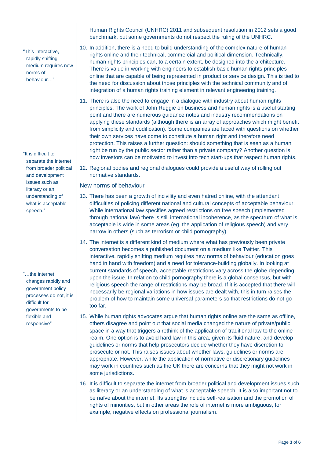"This interactive, rapidly shifting medium requires new norms of behaviour…"

"It is difficult to separate the internet from broader political and development issues such as literacy or an understanding of what is acceptable speech."

"…the internet changes rapidly and government policy processes do not, it is difficult for governments to be flexible and responsive"

Human Rights Council (UNHRC) 2011 and subsequent resolution in 2012 sets a good benchmark, but some governments do not respect the ruling of the UNHRC.

- 10. In addition, there is a need to build understanding of the complex nature of human rights online and their technical, commercial and political dimension. Technically, human rights principles can, to a certain extent, be designed into the architecture. There is value in working with engineers to establish basic human rights principles online that are capable of being represented in product or service design. This is tied to the need for discussion about those principles with the technical community and of integration of a human rights training element in relevant engineering training.
- 11. There is also the need to engage in a dialogue with industry about human rights principles. The work of John Ruggie on business and human rights is a useful starting point and there are numerous guidance notes and industry recommendations on applying these standards (although there is an array of approaches which might benefit from simplicity and codification). Some companies are faced with questions on whether their own services have come to constitute a human right and therefore need protection. This raises a further question: should something that is seen as a human right be run by the public sector rather than a private company? Another question is how investors can be motivated to invest into tech start-ups that respect human rights.
- 12. Regional bodies and regional dialogues could provide a useful way of rolling out normative standards.

New norms of behaviour

- 13. There has been a growth of incivility and even hatred online, with the attendant difficulties of policing different national and cultural concepts of acceptable behaviour. While international law specifies agreed restrictions on free speech (implemented through national law) there is still international incoherence, as the spectrum of what is acceptable is wide in some areas (eg. the application of religious speech) and very narrow in others (such as terrorism or child pornography).
- 14. The internet is a different kind of medium where what has previously been private conversation becomes a published document on a medium like Twitter. This interactive, rapidly shifting medium requires new norms of behaviour (education goes hand in hand with freedom) and a need for tolerance-building globally. In looking at current standards of speech, acceptable restrictions vary across the globe depending upon the issue. In relation to child pornography there is a global consensus, but with religious speech the range of restrictions may be broad. If it is accepted that there will necessarily be regional variations in how issues are dealt with, this in turn raises the problem of how to maintain some universal parameters so that restrictions do not go too far.
- 15. While human rights advocates argue that human rights online are the same as offline, others disagree and point out that social media changed the nature of private/public space in a way that triggers a rethink of the application of traditional law to the online realm. One option is to avoid hard law in this area, given its fluid nature, and develop guidelines or norms that help prosecutors decide whether they have discretion to prosecute or not. This raises issues about whether laws, guidelines or norms are appropriate. However, while the application of normative or discretionary guidelines may work in countries such as the UK there are concerns that they might not work in some jurisdictions.
- 16. It is difficult to separate the internet from broader political and development issues such as literacy or an understanding of what is acceptable speech. It is also important not to be naïve about the internet. Its strengths include self-realisation and the promotion of rights of minorities, but in other areas the role of internet is more ambiguous, for example, negative effects on professional journalism.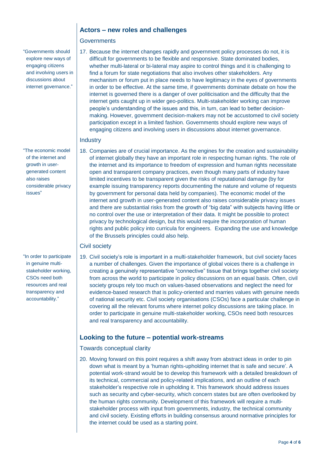### **Actors – new roles and challenges**

#### **Governments**

"Governments should explore new ways of engaging citizens and involving users in discussions about internet governance."

"The economic model of the internet and growth in usergenerated content also raises considerable privacy issues"

"In order to participate in genuine multistakeholder working, CSOs need both resources and real transparency and accountability."

17. Because the internet changes rapidly and government policy processes do not, it is difficult for governments to be flexible and responsive. State dominated bodies, whether multi-lateral or bi-lateral may aspire to control things and it is challenging to find a forum for state negotiations that also involves other stakeholders. Any mechanism or forum put in place needs to have legitimacy in the eyes of governments in order to be effective. At the same time, if governments dominate debate on how the internet is governed there is a danger of over politicisation and the difficulty that the internet gets caught up in wider geo-politics. Multi-stakeholder working can improve people's understanding of the issues and this, in turn, can lead to better decisionmaking. However, government decision-makers may not be accustomed to civil society participation except in a limited fashion. Governments should explore new ways of engaging citizens and involving users in discussions about internet governance.

### **Industry**

18. Companies are of crucial importance. As the engines for the creation and sustainability of internet globally they have an important role in respecting human rights. The role of the internet and its importance to freedom of expression and human rights necessitate open and transparent company practices, even though many parts of industry have limited incentives to be transparent given the risks of reputational damage (by for example issuing transparency reports documenting the nature and volume of requests by government for personal data held by companies). The economic model of the internet and growth in user-generated content also raises considerable privacy issues and there are substantial risks from the growth of "big data" with subjects having little or no control over the use or interpretation of their data. It might be possible to protect privacy by technological design, but this would require the incorporation of human rights and public policy into curricula for engineers. Expanding the use and knowledge of the Brussels principles could also help.

#### Civil society

19. Civil society's role is important in a multi-stakeholder framework, but civil society faces a number of challenges. Given the importance of global voices there is a challenge in creating a genuinely representative "connective" tissue that brings together civil society from across the world to participate in policy discussions on an equal basis. Often, civil society groups rely too much on values-based observations and neglect the need for evidence-based research that is policy-oriented and marries values with genuine needs of national security etc. Civil society organisations (CSOs) face a particular challenge in covering all the relevant forums where internet policy discussions are taking place. In order to participate in genuine multi-stakeholder working, CSOs need both resources and real transparency and accountability.

## **Looking to the future – potential work-streams**

#### Towards conceptual clarity

20. Moving forward on this point requires a shift away from abstract ideas in order to pin down what is meant by a 'human rights-upholding internet that is safe and secure'. A potential work-strand would be to develop this framework with a detailed breakdown of its technical, commercial and policy-related implications, and an outline of each stakeholder's respective role in upholding it. This framework should address issues such as security and cyber-security, which concern states but are often overlooked by the human rights community. Development of this framework will require a multistakeholder process with input from governments, industry, the technical community and civil society. Existing efforts in building consensus around normative principles for the internet could be used as a starting point.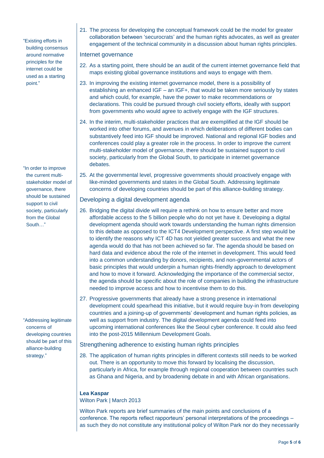"Existing efforts in building consensus around normative principles for the internet could be used as a starting point."

"In order to improve the current multistakeholder model of governance, there should be sustained support to civil society, particularly from the Global South…"

"Addressing legitimate concerns of developing countries should be part of this alliance-building strategy."

21. The process for developing the conceptual framework could be the model for greater collaboration between 'securocrats' and the human rights advocates, as well as greater engagement of the technical community in a discussion about human rights principles.

#### Internet governance

- 22. As a starting point, there should be an audit of the current internet governance field that maps existing global governance institutions and ways to engage with them.
- 23. In improving the existing internet governance model, there is a possibility of establishing an enhanced IGF – an IGF+, that would be taken more seriously by states and which could, for example, have the power to make recommendations or declarations. This could be pursued through civil society efforts, ideally with support from governments who would agree to actively engage with the IGF structures.
- 24. In the interim, multi-stakeholder practices that are exemplified at the IGF should be worked into other forums, and avenues in which deliberations of different bodies can substantively feed into IGF should be improved. National and regional IGF bodies and conferences could play a greater role in the process. In order to improve the current multi-stakeholder model of governance, there should be sustained support to civil society, particularly from the Global South, to participate in internet governance debates.
- 25. At the governmental level, progressive governments should proactively engage with like-minded governments and states in the Global South. Addressing legitimate concerns of developing countries should be part of this alliance-building strategy.

### Developing a digital development agenda

- 26. Bridging the digital divide will require a rethink on how to ensure better and more affordable access to the 5 billion people who do not yet have it. Developing a digital development agenda should work towards understanding the human rights dimension to this debate as opposed to the ICT4 Development perspective. A first step would be to identify the reasons why ICT 4D has not yielded greater success and what the new agenda would do that has not been achieved so far. The agenda should be based on hard data and evidence about the role of the internet in development. This would feed into a common understanding by donors, recipients, and non-governmental actors of basic principles that would underpin a human rights-friendly approach to development and how to move it forward. Acknowledging the importance of the commercial sector, the agenda should be specific about the role of companies in building the infrastructure needed to improve access and how to incentivise them to do this.
- 27. Progressive governments that already have a strong presence in international development could spearhead this initiative, but it would require buy-in from developing countries and a joining-up of governments' development and human rights policies, as well as support from industry. The digital development agenda could feed into upcoming international conferences like the Seoul cyber conference. It could also feed into the post-2015 Millennium Development Goals.

Strengthening adherence to existing human rights principles

28. The application of human rights principles in different contexts still needs to be worked out. There is an opportunity to move this forward by localising the discussion, particularly in Africa, for example through regional cooperation between countries such as Ghana and Nigeria, and by broadening debate in and with African organisations.

# **Lea Kaspar**

Wilton Park | March 2013

Wilton Park reports are brief summaries of the main points and conclusions of a conference. The reports reflect rapporteurs' personal interpretations of the proceedings – as such they do not constitute any institutional policy of Wilton Park nor do they necessarily